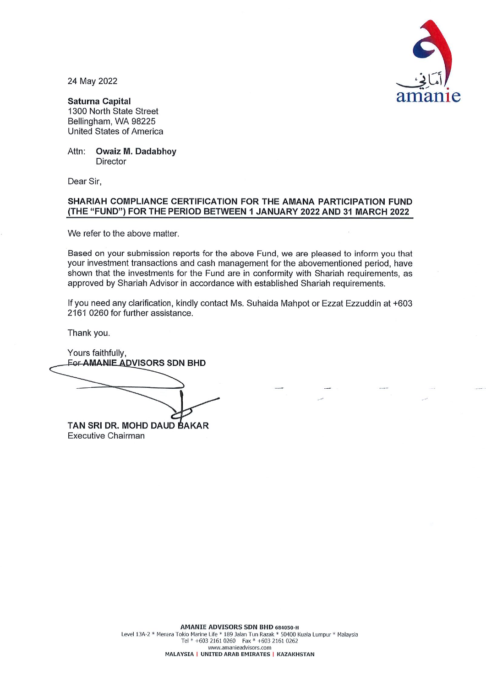

24 May 2022

**Saturna Capital** 1300 North State Street Bellingham, WA 98225 **United States of America** 

Attn: **Owaiz M. Dadabhoy** Director

Dear Sir.

## SHARIAH COMPLIANCE CERTIFICATION FOR THE AMANA PARTICIPATION FUND (THE "FUND") FOR THE PERIOD BETWEEN 1 JANUARY 2022 AND 31 MARCH 2022

We refer to the above matter.

Based on your submission reports for the above Fund, we are pleased to inform you that your investment transactions and cash management for the abovementioned period, have shown that the investments for the Fund are in conformity with Shariah requirements, as approved by Shariah Advisor in accordance with established Shariah requirements.

If you need any clarification, kindly contact Ms. Suhaida Mahpot or Ezzat Ezzuddin at +603 2161 0260 for further assistance.

Thank you.

Yours faithfully, **For AMANIE ADVISORS SDN BHD** TAN SRI DR. MOHD DAUD BAKAR

**Executive Chairman**